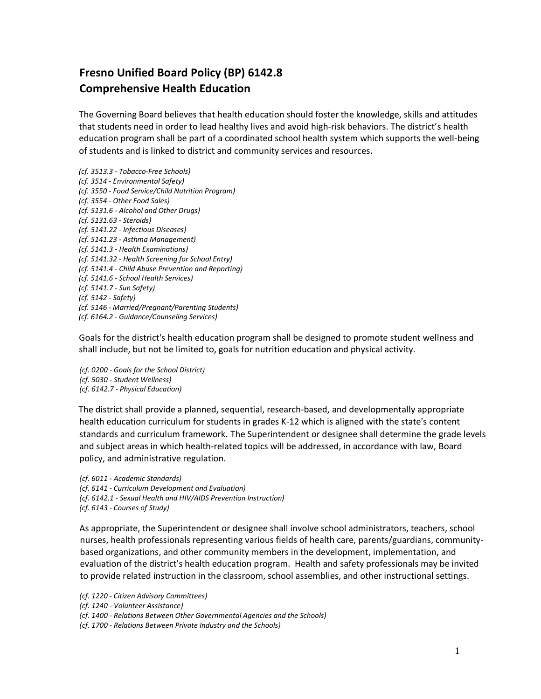## **Fresno Unified Board Policy (BP) 6142.8 Comprehensive Health Education**

The Governing Board believes that health education should foster the knowledge, skills and attitudes that students need in order to lead healthy lives and avoid high-risk behaviors. The district's health education program shall be part of a coordinated school health system which supports the well-being of students and is linked to district and community services and resources.

*(cf. 3513.3 - Tobacco-Free Schools) (cf. 3514 - Environmental Safety) (cf. 3550 - Food Service/Child Nutrition Program) (cf. 3554 - Other Food Sales) (cf. 5131.6 - Alcohol and Other Drugs) (cf. 5131.63 - Steroids) (cf. 5141.22 - Infectious Diseases) (cf. 5141.23 - Asthma Management) (cf. 5141.3 - Health Examinations) (cf. 5141.32 - Health Screening for School Entry) (cf. 5141.4 - Child Abuse Prevention and Reporting) (cf. 5141.6 - School Health Services) (cf. 5141.7 - Sun Safety) (cf. 5142 - Safety) (cf. 5146 - Married/Pregnant/Parenting Students) (cf. 6164.2 - Guidance/Counseling Services)*

Goals for the district's health education program shall be designed to promote student wellness and shall include, but not be limited to, goals for nutrition education and physical activity.

*(cf. 0200 - Goals for the School District) (cf. 5030 - Student Wellness) (cf. 6142.7 - Physical Education)*

The district shall provide a planned, sequential, research-based, and developmentally appropriate health education curriculum for students in grades K-12 which is aligned with the state's content standards and curriculum framework. The Superintendent or designee shall determine the grade levels and subject areas in which health-related topics will be addressed, in accordance with law, Board policy, and administrative regulation.

*(cf. 6011 - Academic Standards) (cf. 6141 - Curriculum Development and Evaluation) (cf. 6142.1 - Sexual Health and HIV/AIDS Prevention Instruction) (cf. 6143 - Courses of Study)*

As appropriate, the Superintendent or designee shall involve school administrators, teachers, school nurses, health professionals representing various fields of health care, parents/guardians, communitybased organizations, and other community members in the development, implementation, and evaluation of the district's health education program. Health and safety professionals may be invited to provide related instruction in the classroom, school assemblies, and other instructional settings.

*(cf. 1220 - Citizen Advisory Committees)*

*(cf. 1240 - Volunteer Assistance)*

*(cf. 1400 - Relations Between Other Governmental Agencies and the Schools)*

*(cf. 1700 - Relations Between Private Industry and the Schools)*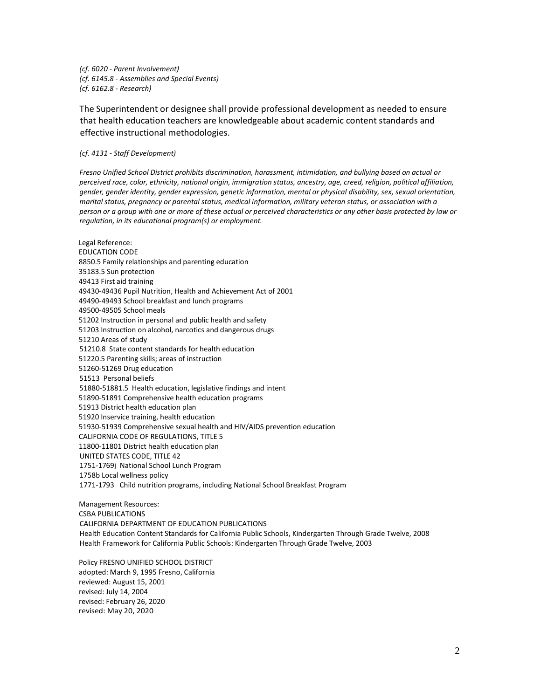*(cf. 6020 - Parent Involvement) (cf. 6145.8 - Assemblies and Special Events) (cf. 6162.8 - Research)*

The Superintendent or designee shall provide professional development as needed to ensure that health education teachers are knowledgeable about academic content standards and effective instructional methodologies.

*(cf. 4131 - Staff Development)*

*Fresno Unified School District prohibits discrimination, harassment, intimidation, and bullying based on actual or perceived race, color, ethnicity, national origin, immigration status, ancestry, age, creed, religion, political affiliation, gender, gender identity, gender expression, genetic information, mental or physical disability, sex, sexual orientation, marital status, pregnancy or parental status, medical information, military veteran status, or association with a person or a group with one or more of these actual or perceived characteristics or any other basis protected by law or regulation, in its educational program(s) or employment.*

Legal Reference: EDUCATION CODE 8850.5 Family relationships and parenting education 35183.5 Sun protection 49413 First aid training 49430-49436 Pupil Nutrition, Health and Achievement Act of 2001 49490-49493 School breakfast and lunch programs 49500-49505 School meals 51202 Instruction in personal and public health and safety 51203 Instruction on alcohol, narcotics and dangerous drugs 51210 Areas of study 51210.8 State content standards for health education 51220.5 Parenting skills; areas of instruction 51260-51269 Drug education 51513 Personal beliefs 51880-51881.5 Health education, legislative findings and intent 51890-51891 Comprehensive health education programs 51913 District health education plan 51920 Inservice training, health education 51930-51939 Comprehensive sexual health and HIV/AIDS prevention education CALIFORNIA CODE OF REGULATIONS, TITLE 5 11800-11801 District health education plan UNITED STATES CODE, TITLE 42 1751-1769j National School Lunch Program 1758b Local wellness policy 1771-1793 Child nutrition programs, including National School Breakfast Program

Management Resources: CSBA PUBLICATIONS CALIFORNIA DEPARTMENT OF EDUCATION PUBLICATIONS Health Education Content Standards for California Public Schools, Kindergarten Through Grade Twelve, 2008 Health Framework for California Public Schools: Kindergarten Through Grade Twelve, 2003

Policy FRESNO UNIFIED SCHOOL DISTRICT adopted: March 9, 1995 Fresno, California reviewed: August 15, 2001 revised: July 14, 2004 revised: February 26, 2020 revised: May 20, 2020